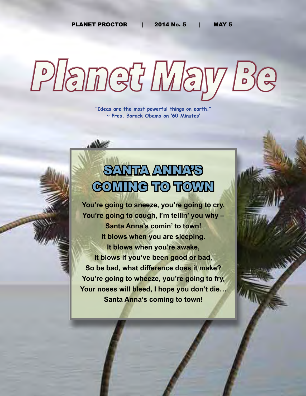PLANET PROCTOR | 2014 No. 5 | MAY 5

# *Planet May Be*

**"Ideas are the most powerful things on earth." ~ Pres. Barack Obama on '60 Minutes'**

# SANTA ANNAS GOMING TO TOWN

**You're going to sneeze, you're going to cry, You're going to cough, I'm tellin' you why – Santa Anna's comin' to town! It blows when you are sleeping. It blows when you're awake, It blows if you've been good or bad, So be bad, what difference does it make? You're going to wheeze, you're going to fry, Your noses will bleed, I hope you don't die… Santa Anna's coming to town!**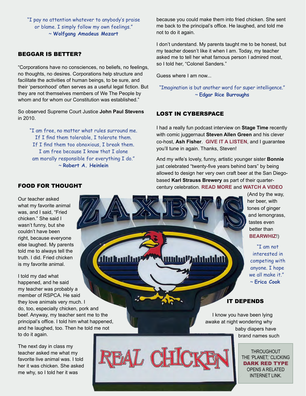"I pay no attention whatever to anybody's praise or blame. I simply follow my own feelings." ~ **Wolfgang Amadeus Mozart**

#### BEGGAR IS BETTER?

"Corporations have no consciences, no beliefs, no feelings, no thoughts, no desires. Corporations help structure and facilitate the activities of human beings, to be sure, and their 'personhood' often serves as a useful legal fiction. But they are not themselves members of We The People by whom and for whom our Constitution was established."

So observed Supreme Court Justice **John Paul Stevens** in 2010.

"I am free, no matter what rules surround me. If I find them tolerable, I tolerate them. If I find them too obnoxious, I break them. I am free because I know that I alone am morally responsible for everything I do." ~ **Robert A. Heinlein**

*Aluthonlla* 

because you could make them into fried chicken. She sent me back to the principal's office. He laughed, and told me not to do it again.

I don't understand. My parents taught me to be honest, but my teacher doesn't like it when I am. Today, my teacher asked me to tell her what famous person I admired most, so I told her, "Colonel Sanders."

Guess where I am now...

"Imagination is but another word for super intelligence." ~ **Edgar Rice Burroughs**

#### LOST IN CYBERSPACE

I had a really fun podcast interview on **Stage Time** recently with comic juggernaut **Steven Allen Green** and his clever co-host, **Ash Fisher**. **[GIVE IT A LISTEN](http://www.fccfreeradio.com/?p=15187)**, and I guarantee you'll tune in again. Thanks, Steven!

And my wife's lovely, funny, artistic younger sister **Bonnie** just celebrated "twenty-five years behind bars" by being allowed to design her very own craft beer at the San Diegobased **Karl Strauss Brewery** as part of their quartercentury celebration. **[READ MORE](http://www.utsandiego.com/news/2014/mar/11/bonnie-peterson-karl-strauss/)** and **[WATCH A VIDEO](http://www.youtube.com/watch?v=o7W2Q6kO8v4&feature=youtu.be)**

'Addululul

(And by the way, her beer, with tones of ginger and lemongrass, tastes even better than **[BEARWHIZ](http://www.eagletshirts.com)**!)

"I am not interested in competing with anyone. I hope we all make it." ~ **Erica Cook**

#### IT DEPENDS

I know you have been lying awake at night wondering why baby diapers have brand names such

> THROUGHOUT THE 'PLANET,' CLICKING DARK RED TYPE OPENS A RELATED INTERNET LINK.

#### FOOD FOR THOUGHT

Our teacher asked what my favorite animal was, and I said, "Fried chicken." She said I wasn't funny, but she couldn't have been right, because everyone else laughed. My parents told me to always tell the truth. I did. Fried chicken is my favorite animal.

I told my dad what happened, and he said my teacher was probably a member of RSPCA. He said they love animals very much. I do, too, especially chicken, pork and beef. Anyway, my teacher sent me to the principal's office. I told him what happened, and he laughed, too. Then he told me not to do it again.

The next day in class my teacher asked me what my favorite live animal was. I told her it was chicken. She asked me why, so I told her it was

EAL CHIC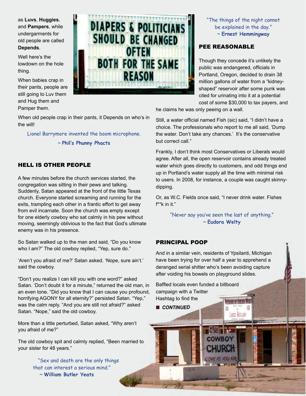as **Luvs**, **Huggies**, and **Pampers**, while undergarments for old people are called **Depends**.

Well here's the lowdown on the hole thing.

When babies crap in their pants, people are still going to Luv them and Hug them and Pamper them.



"The things of the night cannot be explained in the day." ~ **Ernest Hemmingway**

# PEE REASONABLE

Though they concede it's unlikely the public was endangered, officials in Portland, Oregon, decided to drain 38 million gallons of water from a "kidneyshaped" reservoir after some punk was cited for urinating into it at a potential cost of some \$30,000 to tax payers, and

he claims he was only peeing on a wall.

Still, a water official named Fish (sic) said, "I didn't have a choice. The professionals who report to me all said, 'Dump the water. Don't take any chances.' It's the conservative but correct call."

Frankly, I don't think most Conservatives or Liberals would agree. After all, the open reservoir contains already treated water which goes directly to customers, and odd things end up in Portland's water supply all the time with minimal risk to users. In 2008, for instance, a couple was caught skinnydipping.

Or, as W.C. Fields once said, "I never drink water. Fishes f\*\*k in it."

> "Never say you've seen the last of anything." ~ **Eudora Welty**

#### PRINCIPAL POOP

And in a similar vein, residents of Ypsilanti, Michigan have been trying for over half a year to apprehend a deranged serial shitter who's been avoiding capture after voiding his bowels on playground slides.

**ANTS ATTILLAR** 

Baffled locals even funded a billboard campaign with a Twitter Hashtag to find the

**n** CONTINUED

When old people crap in their pants, it Depends on who's in the will!

Lionel Barrymore invented the boom microphone.

~ **Phil's Phunny Phacts**

# HELL IS OTHER PEOPLE

A few minutes before the church services started, the congregation was sitting in their pews and talking. Suddenly, Satan appeared at the front of the little Texas church. Everyone started screaming and running for the exits, trampling each other in a frantic effort to get away from evil incarnate. Soon the church was empty except for one elderly cowboy who sat calmly in his pew without moving, seemingly oblivious to the fact that God's ultimate enemy was in his presence.

So Satan walked up to the man and said, "Do you know who I am?" The old cowboy replied, "Yep, sure do."

'Aren't you afraid of me?' Satan asked. 'Nope, sure ain't.' said the cowboy.

"Don't you realize I can kill you with one word?" asked Satan. 'Don't doubt it for a minute," returned the old man, in an even tone. "Did you know that I can cause you profound, horrifying AGONY for all eternity?" persisted Satan. "Yep," was the calm reply. "And you are still not afraid?" asked Satan. "Nope," said the old cowboy.

More than a little perturbed, Satan asked, "Why aren't you afraid of me?"

The old cowboy spit and calmly replied, "Been married to your sister for 48 years."

> "Sex and death are the only things that can interest a serious mind." ~ **William Butler Yeats**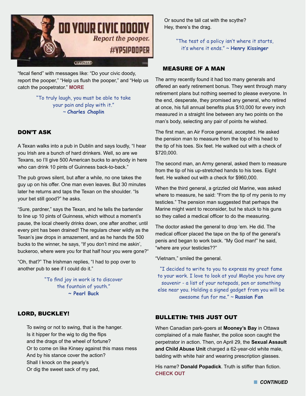

"fecal fiend" with messages like: "Do your civic doody, report the pooper," "Help us flush the pooper," and "Help us catch the poopetrator." **[MORE](http://gawker.com/serial-playground-pooper-remains-on-the-loose-in-ypsila-1564736457/+jayhathaway)**

#### "To truly laugh, you must be able to take your pain and play with it." ~ **Charles Chaplin**

# DON'T ASK

A Texan walks into a pub in Dublin and says loudly, "I hear you Irish are a bunch of hard drinkers. Well, so are we Texans, so I'll give 500 American bucks to anybody in here who can drink 10 pints of Guinness back-to-back."

The pub grows silent, but after a while, no one takes the guy up on his offer. One man even leaves. But 30 minutes later he returns and taps the Texan on the shoulder. "Is your bet still good?" he asks.

"Sure, pardner," says the Texan, and he tells the bartender to line up 10 pints of Guinness, which without a moment's pause, the local cheerily drinks down, one after another, until every pint has been drained! The regulars cheer wildly as the Texan's jaw drops in amazement, and as he hands the 500 bucks to the winner, he says, "If you don't mind me askin', buckeroo, where were you for that half hour you were gone?"

"Oh, that?" The Irishman replies, "I had to pop over to another pub to see if I could do it."

> "To find joy in work is to discover the fountain of youth." **~ Pearl Buck**

# LORD, BUCKLEY!

To swing or not to swing, that is the hanger. Is it hipper for the wig to dig the flips and the drags of the wheel of fortune? Or to come on like Kinsey against this mass mess And by his stance cover the action? Shall I knock on the pearly's Or dig the sweet sack of my pad,

Or sound the tall cat with the scythe? Hey, there's the drag.

> "The test of a policy isn't where it starts, it's where it ends." ~ **Henry Kissinger**

#### MEASURE OF A MAN

The army recently found it had too many generals and offered an early retirement bonus. They went through many retirement plans but nothing seemed to please everyone. In the end, desperate, they promised any general, who retired at once, his full annual benefits plus \$10,000 for every inch measured in a straight line between any two points on the man's body, selecting any pair of points he wished.

The first man, an Air Force general, accepted. He asked the pension man to measure from the top of his head to the tip of his toes. Six feet. He walked out with a check of \$720,000.

The second man, an Army general, asked them to measure from the tip of his up-stretched hands to his toes. Eight feet. He walked out with a check for \$960,000.

When the third general, a grizzled old Marine, was asked where to measure, he said: "From the tip of my penis to my testicles." The pension man suggested that perhaps the Marine might want to reconsider, but he stuck to his guns so they called a medical officer to do the measuring.

The doctor asked the general to drop 'em. He did. The medical officer placed the tape on the tip of the general's penis and began to work back. "My God man!" he said, "where are your testicles??"

"Vietnam," smiled the general.

"I decided to write to you to express my great fame to your work. I love to look at you! Maybe you have any souvenir - a list of your notepads, pen or something else near you. Holding a signed gadget from you will be awesome fun for me." ~ **Russian Fan**

#### BULLETIN: THIS JUST OUT

When Canadian park-goers at **Mooney's Bay** in Ottawa complained of a male flasher, the police soon caught the perpetrator in action. Then, on April 29, the **Sexual Assault and Child Abuse Unit** charged a 62-year-old white male, balding with white hair and wearing prescription glasses.

His name? **Donald Popadick**. Truth is stiffer than fiction. **[CHECK OUT](http://www.ctvnews.ca/canada/ottawa-police-arrest-donald-popadick-after-flashing-incident-in-park-1.1799024)**